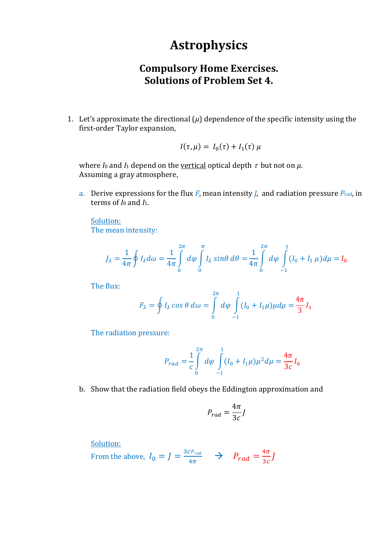## **Astrophysics**

## **Compulsory Home Exercises. Solutions of Problem Set 4.**

1. Let's approximate the directional  $(\mu)$  dependence of the specific intensity using the first-order Taylor expansion,

$$
I(\tau,\mu) = I_0(\tau) + I_1(\tau)\,\mu
$$

where *I*<sub>0</sub> and *I*<sub>1</sub> depend on the <u>vertical</u> optical depth  $\tau$  but not on  $\mu$ . Assuming a gray atmosphere,

a. Derive expressions for the flux *F*, mean intensity *J*, and radiation pressure *P*rad, in terms of *I*<sup>0</sup> and *I*1.

Solution: The mean intensity:

$$
J_{\lambda} = \frac{1}{4\pi} \oint I_{\lambda} d\omega = \frac{1}{4\pi} \int_{0}^{2\pi} d\varphi \int_{0}^{\pi} I_{\lambda} \sin\theta \, d\theta = \frac{1}{4\pi} \int_{0}^{2\pi} d\varphi \int_{-1}^{1} (I_{0} + I_{1} \mu) d\mu = I_{0}
$$

The flux:

$$
F_{\lambda} = \oint I_{\lambda} \cos \theta \, d\omega = \int_{0}^{2\pi} d\varphi \int_{-1}^{1} (I_{0} + I_{1}\mu) \mu d\mu = \frac{4\pi}{3} I_{1}
$$

The radiation pressure:

$$
P_{rad} = \frac{1}{c} \int_{0}^{2\pi} d\varphi \int_{-1}^{1} (I_0 + I_1 \mu) \mu^2 d\mu = \frac{4\pi}{3c} I_0
$$

b. Show that the radiation field obeys the Eddington approximation and

$$
P_{rad} = \frac{4\pi}{3c}J
$$

Solution:

From the above, 
$$
I_0 = J = \frac{3cP_{rad}}{4\pi} \rightarrow P_{rad} = \frac{4\pi}{3c}J
$$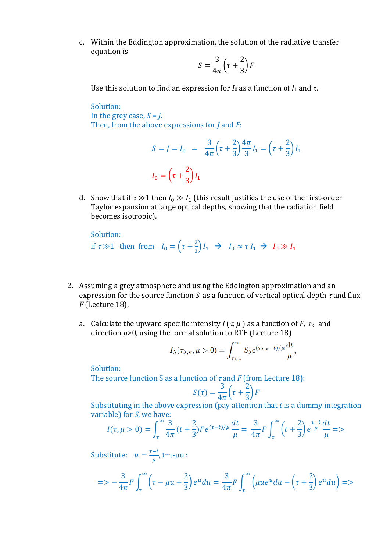c. Within the Eddington approximation, the solution of the radiative transfer equation is

$$
S = \frac{3}{4\pi} \left( \tau + \frac{2}{3} \right) F
$$

Use this solution to find an expression for  $I_0$  as a function of  $I_1$  and  $\tau$ .

Solution: In the grey case,  $S = J$ . Then, from the above expressions for *J* and *F*:

$$
S = J = I_0 = \frac{3}{4\pi} \left( \tau + \frac{2}{3} \right) \frac{4\pi}{3} I_1 = \left( \tau + \frac{2}{3} \right) I_1
$$

$$
I_0 = \left( \tau + \frac{2}{3} \right) I_1
$$

d. Show that if  $\tau \gg 1$  then  $I_0 \gg I_1$  (this result justifies the use of the first-order Taylor expansion at large optical depths, showing that the radiation field becomes isotropic).

Solution: if  $\tau \gg 1$  then from  $I_0 = \left(\tau + \frac{2}{3}\right)$  $\frac{2}{3}I_1 \rightarrow I_0 \approx \tau I_1 \rightarrow I_0 \gg I_1$ 

- 2. Assuming a grey atmosphere and using the Eddington approximation and an expression for the source function *S* as a function of vertical optical depth  $\tau$  and flux *F* (Lecture 18),
	- a. Calculate the upward specific intensity  $I(\tau, \mu)$  as a function of  $F$ ,  $\tau_v$  and direction *μ*>0, using the formal solution to RTE (Lecture 18)

$$
I_{\lambda}(\tau_{\lambda,\mathbf{v}}, \mu > 0) = \int_{\tau_{\lambda,\mathbf{v}}}^{\infty} S_{\lambda} e^{(\tau_{\lambda,\mathbf{v}} - t)/\mu} \frac{\mathrm{d}t}{\mu},
$$

Solution:

The source function S as a function of  $\tau$  and *F* (from Lecture 18):

$$
S(\tau) = \frac{3}{4\pi} \left(\tau + \frac{2}{3}\right) F
$$

Substituting in the above expression (pay attention that *t* is a dummy integration variable) for *S*, we have:

$$
I(\tau, \mu > 0) = \int_{\tau}^{\infty} \frac{3}{4\pi} (t + \frac{2}{3}) F e^{(\tau - t)/\mu} \frac{dt}{\mu} = \frac{3}{4\pi} F \int_{\tau}^{\infty} \left( t + \frac{2}{3} \right) e^{\frac{\tau - t}{\mu}} \frac{dt}{\mu} = >
$$

Substitute:  $u = \frac{\tau - t}{u}$  $\frac{-\iota}{\mu}$ , t=τ-μu :

$$
S = -\frac{3}{4\pi}F\int_{\tau}^{\infty} \left(\tau - \mu u + \frac{2}{3}\right)e^{u} du = \frac{3}{4\pi}F\int_{\tau}^{\infty} \left(\mu u e^{u} du - \left(\tau + \frac{2}{3}\right)e^{u} du\right) =
$$